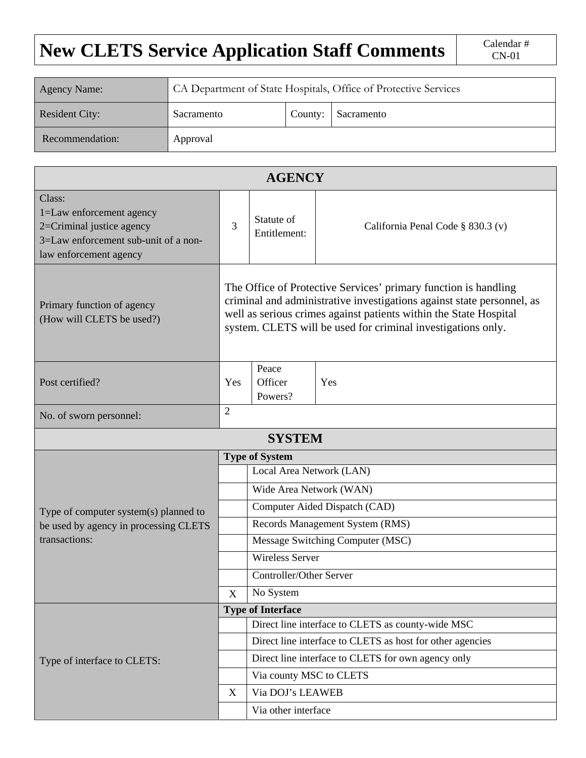## **New CLETS Service Application Staff Comments**  $\Big|$  Calendar #

| Agency Name:    | CA Department of State Hospitals, Office of Protective Services |         |            |  |  |  |  |
|-----------------|-----------------------------------------------------------------|---------|------------|--|--|--|--|
| Resident City:  | Sacramento                                                      | County: | Sacramento |  |  |  |  |
| Recommendation: | Approval                                                        |         |            |  |  |  |  |

| <b>AGENCY</b>                                                                                                                     |                                                                                                                                                                                                                                                                                |                                                           |                                   |  |  |  |  |  |
|-----------------------------------------------------------------------------------------------------------------------------------|--------------------------------------------------------------------------------------------------------------------------------------------------------------------------------------------------------------------------------------------------------------------------------|-----------------------------------------------------------|-----------------------------------|--|--|--|--|--|
| Class:<br>1=Law enforcement agency<br>2=Criminal justice agency<br>3=Law enforcement sub-unit of a non-<br>law enforcement agency |                                                                                                                                                                                                                                                                                | Statute of<br>Entitlement:                                | California Penal Code § 830.3 (v) |  |  |  |  |  |
| Primary function of agency<br>(How will CLETS be used?)                                                                           | The Office of Protective Services' primary function is handling<br>criminal and administrative investigations against state personnel, as<br>well as serious crimes against patients within the State Hospital<br>system. CLETS will be used for criminal investigations only. |                                                           |                                   |  |  |  |  |  |
| Post certified?                                                                                                                   |                                                                                                                                                                                                                                                                                | Peace<br>Officer<br>Powers?                               | Yes                               |  |  |  |  |  |
| No. of sworn personnel:                                                                                                           | $\overline{2}$                                                                                                                                                                                                                                                                 |                                                           |                                   |  |  |  |  |  |
| <b>SYSTEM</b>                                                                                                                     |                                                                                                                                                                                                                                                                                |                                                           |                                   |  |  |  |  |  |
|                                                                                                                                   | <b>Type of System</b>                                                                                                                                                                                                                                                          |                                                           |                                   |  |  |  |  |  |
|                                                                                                                                   |                                                                                                                                                                                                                                                                                | Local Area Network (LAN)                                  |                                   |  |  |  |  |  |
|                                                                                                                                   |                                                                                                                                                                                                                                                                                | Wide Area Network (WAN)                                   |                                   |  |  |  |  |  |
| Type of computer system(s) planned to                                                                                             |                                                                                                                                                                                                                                                                                | Computer Aided Dispatch (CAD)                             |                                   |  |  |  |  |  |
| be used by agency in processing CLETS<br>transactions:                                                                            |                                                                                                                                                                                                                                                                                | Records Management System (RMS)                           |                                   |  |  |  |  |  |
|                                                                                                                                   |                                                                                                                                                                                                                                                                                | Message Switching Computer (MSC)                          |                                   |  |  |  |  |  |
|                                                                                                                                   |                                                                                                                                                                                                                                                                                | <b>Wireless Server</b>                                    |                                   |  |  |  |  |  |
|                                                                                                                                   |                                                                                                                                                                                                                                                                                | Controller/Other Server                                   |                                   |  |  |  |  |  |
|                                                                                                                                   | $\mathbf X$                                                                                                                                                                                                                                                                    | No System                                                 |                                   |  |  |  |  |  |
|                                                                                                                                   |                                                                                                                                                                                                                                                                                | <b>Type of Interface</b>                                  |                                   |  |  |  |  |  |
|                                                                                                                                   |                                                                                                                                                                                                                                                                                | Direct line interface to CLETS as county-wide MSC         |                                   |  |  |  |  |  |
|                                                                                                                                   |                                                                                                                                                                                                                                                                                | Direct line interface to CLETS as host for other agencies |                                   |  |  |  |  |  |
| Type of interface to CLETS:                                                                                                       |                                                                                                                                                                                                                                                                                | Direct line interface to CLETS for own agency only        |                                   |  |  |  |  |  |
|                                                                                                                                   |                                                                                                                                                                                                                                                                                | Via county MSC to CLETS                                   |                                   |  |  |  |  |  |
|                                                                                                                                   | X                                                                                                                                                                                                                                                                              | Via DOJ's LEAWEB                                          |                                   |  |  |  |  |  |
|                                                                                                                                   |                                                                                                                                                                                                                                                                                | Via other interface                                       |                                   |  |  |  |  |  |